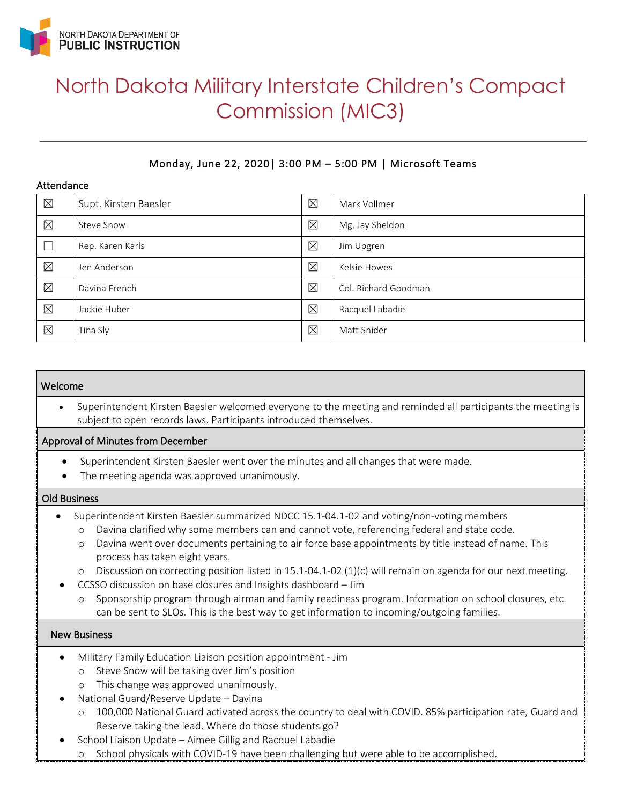

# North Dakota Military Interstate Children's Compact Commission (MIC3)

# Monday, June 22, 2020| 3:00 PM – 5:00 PM | Microsoft Teams

#### Attendance

| $\boxtimes$ | Supt. Kirsten Baesler | $\boxtimes$ | Mark Vollmer         |
|-------------|-----------------------|-------------|----------------------|
| $\boxtimes$ | Steve Snow            | $\boxtimes$ | Mg. Jay Sheldon      |
|             | Rep. Karen Karls      | $\boxtimes$ | Jim Upgren           |
| $\boxtimes$ | Jen Anderson          | $\boxtimes$ | Kelsie Howes         |
| $\boxtimes$ | Davina French         | $\boxtimes$ | Col. Richard Goodman |
| $\boxtimes$ | Jackie Huber          | $\boxtimes$ | Racquel Labadie      |
| $\boxtimes$ | Tina Sly              | $\boxtimes$ | Matt Snider          |

#### Welcome

• Superintendent Kirsten Baesler welcomed everyone to the meeting and reminded all participants the meeting is subject to open records laws. Participants introduced themselves.

#### Approval of Minutes from December

- Superintendent Kirsten Baesler went over the minutes and all changes that were made.
- The meeting agenda was approved unanimously.

#### Old Business

- Superintendent Kirsten Baesler summarized NDCC 15.1-04.1-02 and voting/non-voting members
	- o Davina clarified why some members can and cannot vote, referencing federal and state code.
	- o Davina went over documents pertaining to air force base appointments by title instead of name. This process has taken eight years.
	- o Discussion on correcting position listed in 15.1-04.1-02 (1)(c) will remain on agenda for our next meeting.
	- CCSSO discussion on base closures and Insights dashboard Jim
		- o Sponsorship program through airman and family readiness program. Information on school closures, etc. can be sent to SLOs. This is the best way to get information to incoming/outgoing families.

#### New Business

- Military Family Education Liaison position appointment Jim
	- o Steve Snow will be taking over Jim's position
	- o This change was approved unanimously.
	- National Guard/Reserve Update Davina
		- o 100,000 National Guard activated across the country to deal with COVID. 85% participation rate, Guard and Reserve taking the lead. Where do those students go?
- School Liaison Update Aimee Gillig and Racquel Labadie
	- o School physicals with COVID-19 have been challenging but were able to be accomplished.